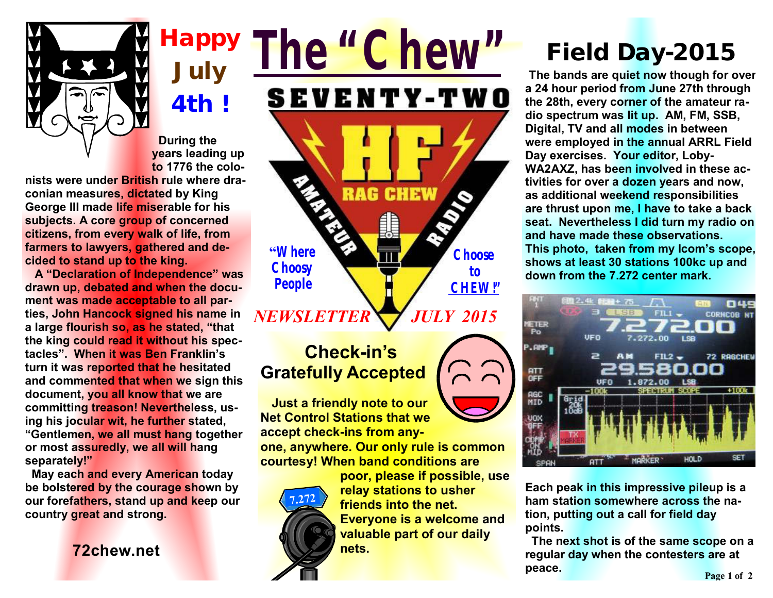

**Happy July 4th** *!*

 **During the years leading up to 1776 the colo-**

**nists were under British rule where draconian measures, dictated by King George III made life miserable for his subjects. A core group of concerned citizens, from every walk of life, from farmers to lawyers, gathered and decided to stand up to the king.** 

 **A "Declaration of Independence" was drawn up, debated and when the document was made acceptable to all parties, John Hancock signed his name in a large flourish so, as he stated, "that the king could read it without his spectacles". When it was Ben Franklin's turn it was reported that he hesitated and commented that when we sign this document, you all know that we are committing treason! Nevertheless, using his jocular wit, he further stated, "Gentlemen, we all must hang together or most assuredly, we all will hang separately!"** 

 **May each and every American today be bolstered by the courage shown by our forefathers, stand up and keep our country great and strong.** 

**72chew.net**

## *The "Chew"* SEVENTY-TWO RAG **CHEW "Where Choose Choosy to People CHEW!"** *JULY 2015 NEWSLETTER*

### **Check-in's Gratefully Accepted**

 **Just a friendly note to our Net Control Stations that we accept check-ins from any-**

**one, anywhere. Our only rule is common courtesy! When band conditions are** 



**poor, please if possible, use relay stations to usher friends into the net. Everyone is a welcome and valuable part of our daily nets.** 

# *Field Day-2015*

**The bands are quiet now though for over a 24 hour period from June 27th through the 28th, every corner of the amateur radio spectrum was lit up. AM, FM, SSB, Digital, TV and all modes in between were employed in the annual ARRL Field Day exercises. Your editor, Loby-WA2AXZ, has been involved in these activities for over a dozen years and now, as additional weekend responsibilities are thrust upon me, I have to take a back seat. Nevertheless I did turn my radio on and have made these observations. This photo, taken from my Icom's scope, shows at least 30 stations 100kc up and down from the 7.272 center mark.**



**Each peak in this impressive pileup is a ham station somewhere across the nation, putting out a call for field day points.** 

**The next shot is of the same scope on a regular day when the contesters are at peace.**